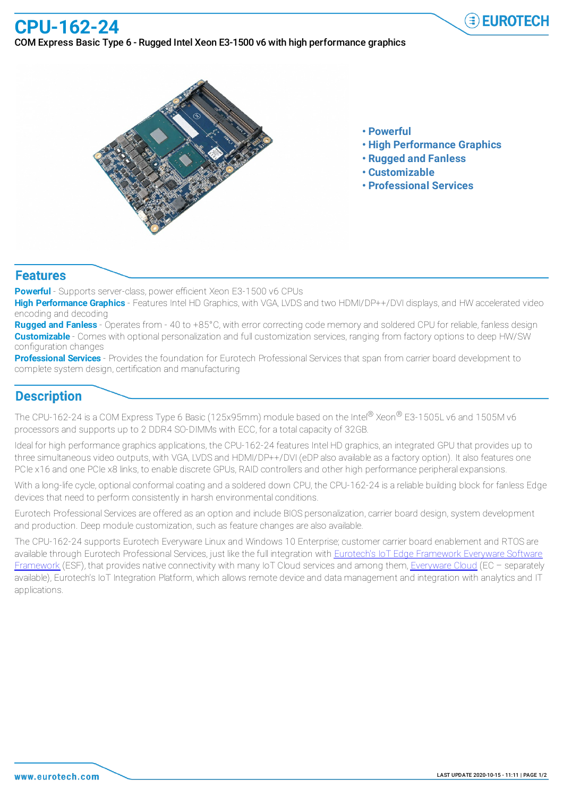## **CPU-162-24**

#### COM Express Basic Type 6 - Rugged Intel Xeon E3-1500 v6 with high performance graphics



- **• Powerful**
- **• High Performance Graphics**

 $\widehat{=}$  EUROTECH

- **• Rugged and Fanless**
- **• Customizable**
- **• Professional Services**

#### **Features**

**Powerful** - Supports server-class, power efficient Xeon E3-1500 v6 CPUs

**High Performance Graphics** - Features Intel HD Graphics, with VGA, LVDS and two HDMI/DP++/DVI displays, and HW accelerated video encoding and decoding

**Rugged and Fanless** - Operates from - 40 to +85°C, with error correcting code memory and soldered CPU for reliable, fanless design **Customizable** - Comes with optional personalization and full customization services, ranging from factory options to deep HW/SW configuration changes

**Professional Services** - Provides the foundation for Eurotech Professional Services that span from carrier board development to complete system design, certification and manufacturing

### **Description**

The CPU-162-24 is a COM Express Type 6 Basic (125x95mm) module based on the Intel® Xeon® E3-1505L v6 and 1505M v6 processors and supports up to 2 DDR4 SO-DIMMs with ECC, for a total capacity of 32GB.

Ideal for high performance graphics applications, the CPU-162-24 features Intel HD graphics, an integrated GPU that provides up to three simultaneous video outputs, with VGA, LVDS and HDMI/DP++/DVI (eDP also available as a factory option). It also features one PCIe x16 and one PCIe x8 links, to enable discrete GPUs, RAID controllers and other high performance peripheral expansions.

With a long-life cycle, optional conformal coating and a soldered down CPU, the CPU-162-24 is a reliable building block for fanless Edge devices that need to perform consistently in harsh environmental conditions.

Eurotech Professional Services are offered as an option and include BIOS personalization, carrier board design, system development and production. Deep module customization, such as feature changes are also available.

The CPU-162-24 supports Eurotech Everyware Linux and Windows 10 Enterprise; customer carrier board enablement and RTOS are available through Eurotech Professional Services, just like the full integration with Eurotech's IoT Edge Framework Everyware Software Framework (ESF), that provides native connectivity with many IoT Cloud services and among them, Everyware Cloud (EC - separately available), Eurotech's IoT Integration Platform, which allows remote device and data management and integration with analytics and IT applications.